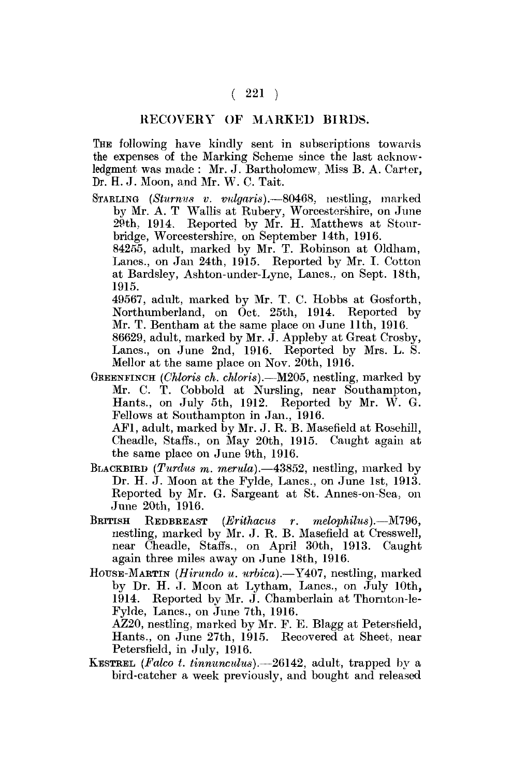## $(221)$

## RECOVERY OF MARKED BIRDS.

THE following have kindly sent in subscriptions towards the expenses of the Marking Scheme since the last acknowledgment was made : Mr. J. Bartholomew, Miss B. A. Carter, Dr. H. J. Moon, and Mr. W. C. Tait.

STARLING *(Sturnus v. vulgaris).*—80468, nestling, marked bv Mr. A. T Wallis at Ruberv, Worcestershire, on June 29th, 1914. Reported by Mr. H. Matthews at Stourbridge, Worcestershire, on September 14th, 1916. 84255, adult, marked by Mr. T. Robinson at Oldham,

Lanes., on Jan 24th, 1915. Reported by Mr. I. Cotton at Bardsley, Ashton-under-Lyne, Lanes., on Sept. 18th, 1915.

49567, adult, marked by Mr. T. C. Hobbs at Gosforth, Northumberland, on Oct. 25th, 1914. Reported by Mr. T. Bentham at the same place on June 11th, 1916. 86629, adult, marked by Mr. J. Appleby at Great Crosby, Lanes., on June 2nd, 1916. Reported by Mrs. L. S. Mellor at the same place on Nov. 20th, 1916.

GREENFINCH *(Chloris ch. chloris).*—M205, nestling, marked by Mr. C. T. Cobbold at Nursling, near Southampton, Hants., on July 5th, 1912. Reported by Mr. W. G. Fellows at Southampton in Jan., 1916.

AF1, adult, marked by Mr. J. R. B. Masefield at Rosehill, Cheadle, Staffs., on May 20th, 1915. Caught again at the same place on June 9th, 1916.

- BLACKBIRD *(Turdus m. merula).*—43852, nestling, marked by Dr. H. J. Moon at the Fylde, Lanes., on June 1st, 1913. Reported by Mr. G. Sargeant at St. Annes-on-Sea, on June 20th, 1916.
- BRITISH REDBREAST *(Erithacus r. melophilus).*—M796, nestling, marked by Mr. J. R. B. Masefield at Cresswell, near Cheadle, Staffs., on April 30th, 1913. Caught again three miles away on June 18th, 1916.
- HOUSE-MARTIN *(Hirundo u. urbica).*—Y407, nestling, marked by Dr. H. J. Moon at Lytham, Lanes., on July 10th, 1914. Reported by Mr. J. Chamberlain at Thornton-le-Fylde, Lanes., on June 7th, 1916. AZ20, nestling, marked by Mr. *F.* E. Blagg at Petersfield,

Hants., on June 27th, 1915. Recovered at Sheet, near Petersfield, in July, 1916.

KESTREL *(Falco t. tinnuncidus).*—26142, adult, trapped by a bird-catcher a week previously, and bought and released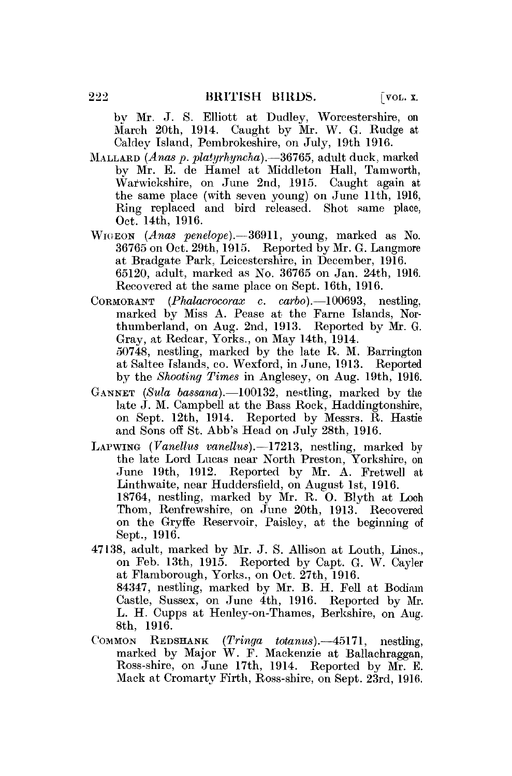bv Mr. J. S. Elliott at Dudley, Worcestershire, on March 20th, 1914. Caught by Mr. W. G. Rudge at Caldey Island, Pembrokeshire, on July, 19th 1916.

- MALLARD *(Anas p. platyrhyncha).*—36765, adult duck, marked by Mr. E. de Hamel at Middleton Hall, Tamworth, Warwickshire, on June 2nd, 1915. Caught again at the same place (with seven young) on June 11th, 1916, Ring replaced and bird released. Shot same place, Oct. 14th, 1916.
- WKIEON *(Anas penelope).*—36911, young, marked as No. 36765 on Oct. 29th, 1915. Reported by Mr. G. Langmore at Bradgate Park, Leicestershire, in December, 1916. 65120, adult, marked as No. 36765 on Jan. 24th, 1916. Recovered at the same place on Sept. 16th, 1916.
- CORMORANT *(Phalacrocorax* c. *carbo).*—100693, nestling, marked by Miss A. Pease at the Fame Islands, Northumberland, on Aug. 2nd, 1913. Reported by Mr. G. Gray, at Redcar, Yorks., on May 14th, 1914. 50748, nestling, marked by the late R. M. Barrington at Saltee Tslands, co. Wexford, in June, 1913. Reported by the *Shooting Times* in Anglesey, on Aug. 19th, 1916.
- GANNET *(Sula bassana).*—100132, nestling, marked by the late J. M. Campbell at the Bass Rock, Haddingtonshire, on Sept. 12th, 1914. Reported by Messrs. R. Hastie and Sons off St. Abb's Head on July 28th, 1916.
- LAPWING *(Vanellus vanellus).*—17213, nestling, marked by the late Lord Lucas near North Preston, Yorkshire, on June 19th, 1912. Reported by Mr. A. Pretwell at Linthwaite, near Huddersfield, on August 1st, 1916. 18764, nestling, marked by Mr. R. O. Blyth at Loch Thom, Renfrewshire, on June 20th, 1913. Recovered on the Gryffe Reservoir, Paisley, at the beginning of Sept., 1916.
- 47138, adult, marked by Mr. J. S. Allison at Louth, Lines., on Feb. 13th, 1915. Reported by Capt. G. W. Cayler at Flamborough, Yorks., on Oct. 27th, 1916. 84347, nestling, marked by Mr. B. H. Fell at Bodiam Castle, Sussex, on June 4th, 1916. Reported by Mr. L. H. Cupps at Henley-on-Thames, Berkshire, on Aug. 8th, 1916.
- COMMON REDSHANK *(Tringa totanus).*—45171, nestling, marked by Major W. F. Mackenzie at Ballachraggan, Ross-shire, on June 17th, 1914. Reported by Mr. E. Mack at Cromarty Firth, Ross-shire, on Sept. 23rd, 1916.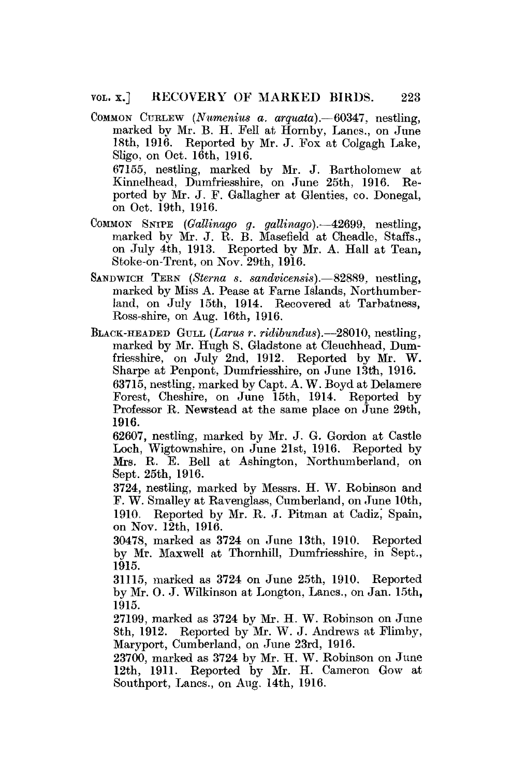- COMMON CURLEW *(Numeniua a, arquata).*—60347, nestling, marked by Mr. B. H. Fell at Hornby, Lanes., on June 18th, 1916. Reported by Mr. J. Pox at Colgagh Lake, Sligo, on Oct. 16th, 1916. 67155, nestling, marked by Mr. J. Bartholomew at Kinnelheacl, Dumfriesshire, on June 25th, 1916. Reported bv Mr. J. F. Gallagher at Glenties, eo. Donegal, on Oct. 19th, 1916.
- COMMON SNIPE *(Oallinago g. galUnago).*—42699, nestling, marked by Mr. J. R. B. Masefield at Cheadle, Staffs., on July 4th, 1913. Reported bv Mr. A. Hall at Tean, Stoke-on-Trent, on Nov. 29th, 1916.
- SANDWICH TEEN *(Sterna s. sandvicensis).*—82889, nestling, marked by Miss A. Pease at Fame Islands, Northumberland, on July 15th, 1914. Recovered at Tarbatness, Ross-shire, on Aug. 16th, 1916.
- BLACK-HEADED GULL *(Larus r. ridibundus).*—28010, nestling, marked by Mr. Hugh S. Gladstone at Cleuchhead, Dumfriesshire, on July 2nd, 1912. Reported by Mr. W. Sharpe at Penpont, Dumfriesshire, on June 13th, 1916. 63715, nestling, marked by Capt. A. W. Boyd at Delamere Forest, Cheshire, on June 15th, 1914. Reported by Professor R. Newstead at the same place on June 29th, 1916.

62607, nestling, marked by Mr. J. G. Gordon at Castle Loch, Wigtownshire, on June 21st, 1916. Reported by Mrs. R. E. Bell at Ashington, Northumberland, on Sept. 25th, 1916.

3724, nestling, marked by Messrs. H. W. Robinson and F. W. Smalley at Ravenglass, Cumberland, on June 10th, 1910. Reported by Mr. R. J. Pitman at Cadiz, Spain, on Nov. 12th, 1916.

30478, marked as 3724 on June 13th, 1910. Reported by Mr. Maxwell at Thornhill, Dumfriesshire, in Sept., 1915.

31115, marked as 3724 on June 25th, 1910. Reported by Mr. O. J. Wilkinson at Longton, Lanes., on Jan. 15th, 1915.

27199, marked as 3724 by Mr. H. W. Robinson on June 8th, 1912. Reported by Mr. W. J. Andrews at Flimby, Maryport, Cumberland, on June 23rd, 1916.

23700, marked as 3724 by Mr. H. W. Robinson on June 12th, 1911. Reported by Mr. H. Cameron Gow at Southport, Lanes., on Aug. 14th, 1916.